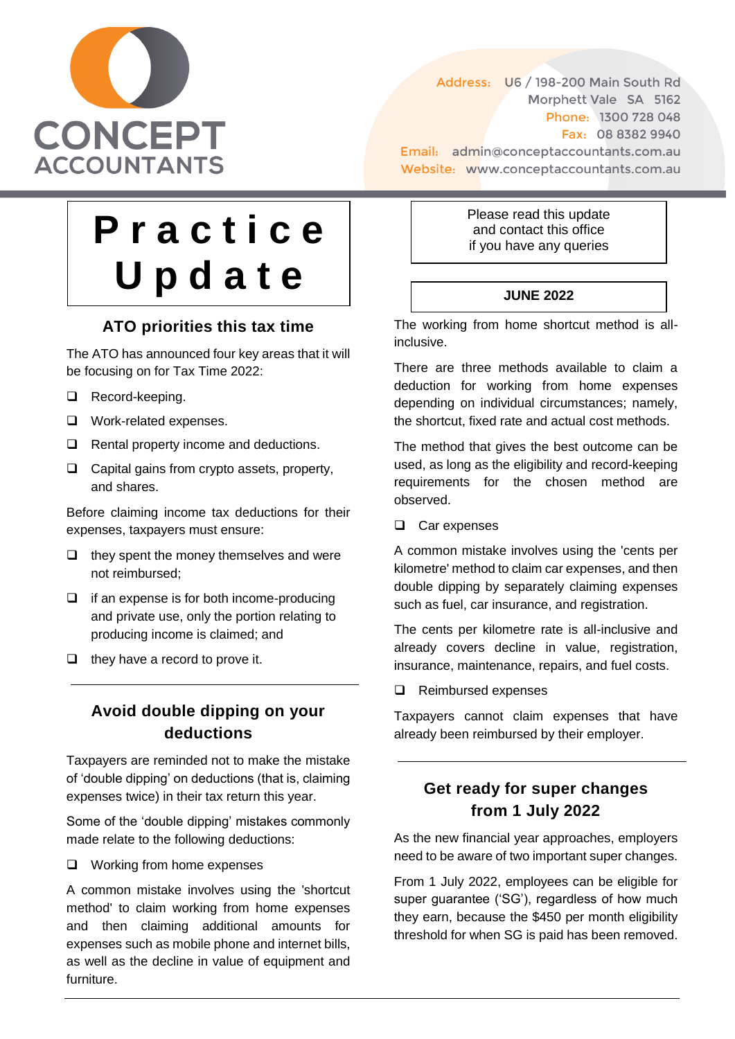

Address: U6 / 198-200 Main South Rd Morphett Vale SA 5162 Phone: 1300 728 048 Fax: 08 8382 9940 Email: admin@conceptaccountants.com.au Website: www.conceptaccountants.com.au

# **P r a c t i c e U p d a t e**

# **ATO priorities this tax time**

The ATO has announced four key areas that it will be focusing on for Tax Time 2022:

- □ Record-keeping.
- □ Work-related expenses.
- $\Box$  Rental property income and deductions.
- $\Box$  Capital gains from crypto assets, property, and shares.

Before claiming income tax deductions for their expenses, taxpayers must ensure:

- $\Box$  they spent the money themselves and were not reimbursed;
- $\Box$  if an expense is for both income-producing and private use, only the portion relating to producing income is claimed; and
- $\Box$  they have a record to prove it.

#### **Avoid double dipping on your deductions**

Taxpayers are reminded not to make the mistake of 'double dipping' on deductions (that is, claiming expenses twice) in their tax return this year.

Some of the 'double dipping' mistakes commonly made relate to the following deductions:

Working from home expenses

A common mistake involves using the 'shortcut method' to claim working from home expenses and then claiming additional amounts for expenses such as mobile phone and internet bills, as well as the decline in value of equipment and furniture.

Please read this update and contact this office if you have any queries

#### **JUNE 2022**

The working from home shortcut method is allinclusive.

There are three methods available to claim a deduction for working from home expenses depending on individual circumstances; namely, the shortcut, fixed rate and actual cost methods.

The method that gives the best outcome can be used, as long as the eligibility and record-keeping requirements for the chosen method are observed.

□ Car expenses

A common mistake involves using the 'cents per kilometre' method to claim car expenses, and then double dipping by separately claiming expenses such as fuel, car insurance, and registration.

The cents per kilometre rate is all-inclusive and already covers decline in value, registration, insurance, maintenance, repairs, and fuel costs.

Reimbursed expenses

Taxpayers cannot claim expenses that have already been reimbursed by their employer.

# **Get ready for super changes from 1 July 2022**

As the new financial year approaches, employers need to be aware of two important super changes.

From 1 July 2022, employees can be eligible for super guarantee ('SG'), regardless of how much they earn, because the \$450 per month eligibility threshold for when SG is paid has been removed.